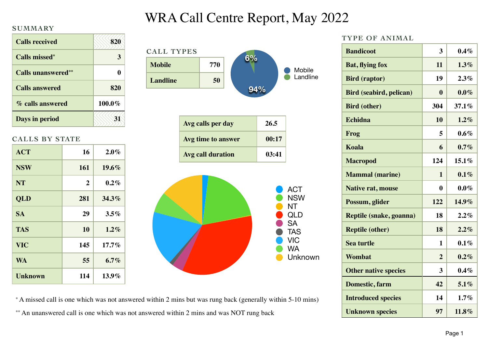# WRA Call Centre Report, May 2022

### **SUMMARY**

| <b>Calls received</b>      | 820    |
|----------------------------|--------|
| Calls missed <sup>*</sup>  | 3      |
| <b>Calls unanswered</b> ** | 0      |
| <b>Calls answered</b>      | 820    |
| % calls answered           | 100.0% |
| Days in period             |        |

### **CALLS BY STATE**

| <b>ACT</b> | 16  | $2.0\%$  |
|------------|-----|----------|
| <b>NSW</b> | 161 | 19.6%    |
| <b>NT</b>  | 2   | $0.2\%$  |
| QLD        | 281 | 34.3%    |
| <b>SA</b>  | 29  | $3.5\%$  |
| <b>TAS</b> | 10  | $1.2\%$  |
| <b>VIC</b> | 145 | $17.7\%$ |
| <b>WA</b>  | 55  | $6.7\%$  |
| Unknown    | 114 | $13.9\%$ |



**TYPE OF ANIMAL**

| <b>Bandicoot</b>               | 3              | $0.4\%$ |  |
|--------------------------------|----------------|---------|--|
| <b>Bat, flying fox</b>         | 11             | 1.3%    |  |
| <b>Bird (raptor)</b>           | 19             | 2.3%    |  |
| <b>Bird (seabird, pelican)</b> | $\bf{0}$       | $0.0\%$ |  |
| <b>Bird (other)</b>            | 304            | 37.1%   |  |
| <b>Echidna</b>                 | 10             | 1.2%    |  |
| Frog                           | 5              | $0.6\%$ |  |
| Koala                          | 6              | 0.7%    |  |
| <b>Macropod</b>                | 124            | 15.1%   |  |
| <b>Mammal</b> (marine)         | $\mathbf{1}$   | 0.1%    |  |
| <b>Native rat, mouse</b>       | $\bf{0}$       | $0.0\%$ |  |
| Possum, glider                 | 122            | 14.9%   |  |
| Reptile (snake, goanna)        | 18             | 2.2%    |  |
| <b>Reptile (other)</b>         | 18             | 2.2%    |  |
| <b>Sea turtle</b>              | 1              | $0.1\%$ |  |
| Wombat                         | $\overline{2}$ | $0.2\%$ |  |
| <b>Other native species</b>    | 3              | $0.4\%$ |  |
| Domestic, farm                 | 42             | 5.1%    |  |
| <b>Introduced species</b>      | 14             | 1.7%    |  |
| <b>Unknown species</b>         | 97             | 11.8%   |  |

\* A missed call is one which was not answered within 2 mins but was rung back (generally within 5-10 mins)

\*\* An unanswered call is one which was not answered within 2 mins and was NOT rung back